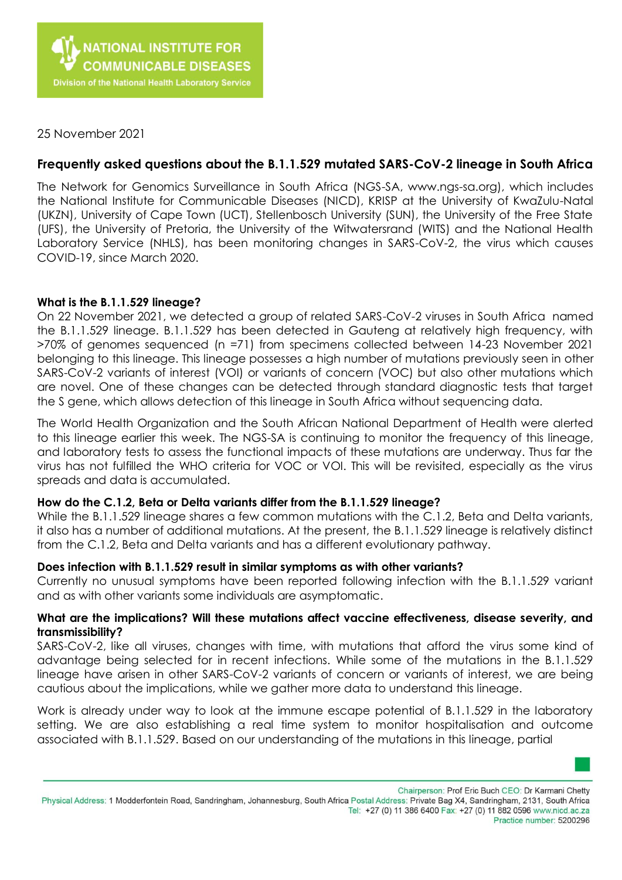

25 November 2021

# **Frequently asked questions about the B.1.1.529 mutated SARS-CoV-2 lineage in South Africa**

The Network for Genomics Surveillance in South Africa (NGS-SA, www.ngs-sa.org), which includes the National Institute for Communicable Diseases (NICD), KRISP at the University of KwaZulu-Natal (UKZN), University of Cape Town (UCT), Stellenbosch University (SUN), the University of the Free State (UFS), the University of Pretoria, the University of the Witwatersrand (WITS) and the National Health Laboratory Service (NHLS), has been monitoring changes in SARS-CoV-2, the virus which causes COVID-19, since March 2020.

## **What is the B.1.1.529 lineage?**

On 22 November 2021, we detected a group of related SARS-CoV-2 viruses in South Africa named the B.1.1.529 lineage. B.1.1.529 has been detected in Gauteng at relatively high frequency, with >70% of genomes sequenced (n =71) from specimens collected between 14-23 November 2021 belonging to this lineage. This lineage possesses a high number of mutations previously seen in other SARS-CoV-2 variants of interest (VOI) or variants of concern (VOC) but also other mutations which are novel. One of these changes can be detected through standard diagnostic tests that target the S gene, which allows detection of this lineage in South Africa without sequencing data.

The World Health Organization and the South African National Department of Health were alerted to this lineage earlier this week. The NGS-SA is continuing to monitor the frequency of this lineage, and laboratory tests to assess the functional impacts of these mutations are underway. Thus far the virus has not fulfilled the WHO criteria for VOC or VOI. This will be revisited, especially as the virus spreads and data is accumulated.

#### **How do the C.1.2, Beta or Delta variants differ from the B.1.1.529 lineage?**

While the B.1.1.529 lineage shares a few common mutations with the C.1.2, Beta and Delta variants, it also has a number of additional mutations. At the present, the B.1.1.529 lineage is relatively distinct from the C.1.2, Beta and Delta variants and has a different evolutionary pathway.

#### **Does infection with B.1.1.529 result in similar symptoms as with other variants?**

Currently no unusual symptoms have been reported following infection with the B.1.1.529 variant and as with other variants some individuals are asymptomatic.

### What are the implications? Will these mutations affect vaccine effectiveness, disease severity, and **transmissibility?**

SARS-CoV-2, like all viruses, changes with time, with mutations that afford the virus some kind of advantage being selected for in recent infections. While some of the mutations in the B.1.1.529 lineage have arisen in other SARS-CoV-2 variants of concern or variants of interest, we are being cautious about the implications, while we gather more data to understand this lineage.

Work is already under way to look at the immune escape potential of B.1.1.529 in the laboratory setting. We are also establishing a real time system to monitor hospitalisation and outcome associated with B.1.1.529. Based on our understanding of the mutations in this lineage, partial

Chairperson: Prof Eric Buch CEO: Dr Karmani Chetty

Practice number: 5200296

Physical Address: 1 Modderfontein Road, Sandringham, Johannesburg, South Africa Postal Address: Private Bag X4, Sandringham, 2131, South Africa Tel: +27 (0) 11 386 6400 Fax: +27 (0) 11 882 0596 www.nicd.ac.za